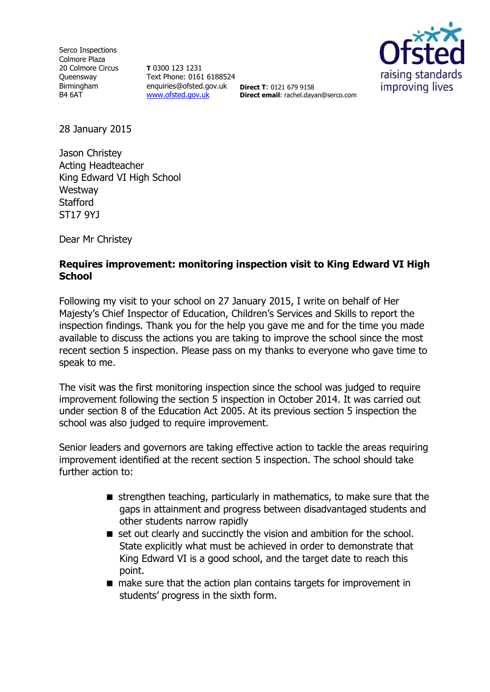Serco Inspections Colmore Plaza 20 Colmore Circus **Queensway** Birmingham B4 6AT

**T** 0300 123 1231 Text Phone: 0161 6188524 enquiries@ofsted.gov.uk **Direct T**: 0121 679 9158 [www.ofsted.gov.uk](http://www.ofsted.gov.uk/)



**Direct email**: rachel.dayan@serco.com

28 January 2015

Jason Christey Acting Headteacher King Edward VI High School **Westway Stafford** ST17 9YJ

Dear Mr Christey

## **Requires improvement: monitoring inspection visit to King Edward VI High School**

Following my visit to your school on 27 January 2015, I write on behalf of Her Majesty's Chief Inspector of Education, Children's Services and Skills to report the inspection findings. Thank you for the help you gave me and for the time you made available to discuss the actions you are taking to improve the school since the most recent section 5 inspection. Please pass on my thanks to everyone who gave time to speak to me.

The visit was the first monitoring inspection since the school was judged to require improvement following the section 5 inspection in October 2014. It was carried out under section 8 of the Education Act 2005. At its previous section 5 inspection the school was also judged to require improvement.

Senior leaders and governors are taking effective action to tackle the areas requiring improvement identified at the recent section 5 inspection. The school should take further action to:

- $\blacksquare$  strengthen teaching, particularly in mathematics, to make sure that the gaps in attainment and progress between disadvantaged students and other students narrow rapidly
- set out clearly and succinctly the vision and ambition for the school. State explicitly what must be achieved in order to demonstrate that King Edward VI is a good school, and the target date to reach this point.
- make sure that the action plan contains targets for improvement in students' progress in the sixth form.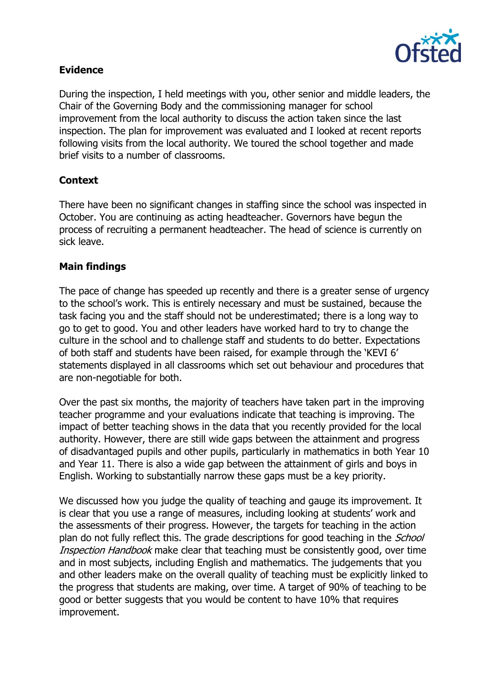

# **Evidence**

During the inspection, I held meetings with you, other senior and middle leaders, the Chair of the Governing Body and the commissioning manager for school improvement from the local authority to discuss the action taken since the last inspection. The plan for improvement was evaluated and I looked at recent reports following visits from the local authority. We toured the school together and made brief visits to a number of classrooms.

# **Context**

There have been no significant changes in staffing since the school was inspected in October. You are continuing as acting headteacher. Governors have begun the process of recruiting a permanent headteacher. The head of science is currently on sick leave.

### **Main findings**

The pace of change has speeded up recently and there is a greater sense of urgency to the school's work. This is entirely necessary and must be sustained, because the task facing you and the staff should not be underestimated; there is a long way to go to get to good. You and other leaders have worked hard to try to change the culture in the school and to challenge staff and students to do better. Expectations of both staff and students have been raised, for example through the 'KEVI 6' statements displayed in all classrooms which set out behaviour and procedures that are non-negotiable for both.

Over the past six months, the majority of teachers have taken part in the improving teacher programme and your evaluations indicate that teaching is improving. The impact of better teaching shows in the data that you recently provided for the local authority. However, there are still wide gaps between the attainment and progress of disadvantaged pupils and other pupils, particularly in mathematics in both Year 10 and Year 11. There is also a wide gap between the attainment of girls and boys in English. Working to substantially narrow these gaps must be a key priority.

We discussed how you judge the quality of teaching and gauge its improvement. It is clear that you use a range of measures, including looking at students' work and the assessments of their progress. However, the targets for teaching in the action plan do not fully reflect this. The grade descriptions for good teaching in the *School* Inspection Handbook make clear that teaching must be consistently good, over time and in most subjects, including English and mathematics. The judgements that you and other leaders make on the overall quality of teaching must be explicitly linked to the progress that students are making, over time. A target of 90% of teaching to be good or better suggests that you would be content to have 10% that requires improvement.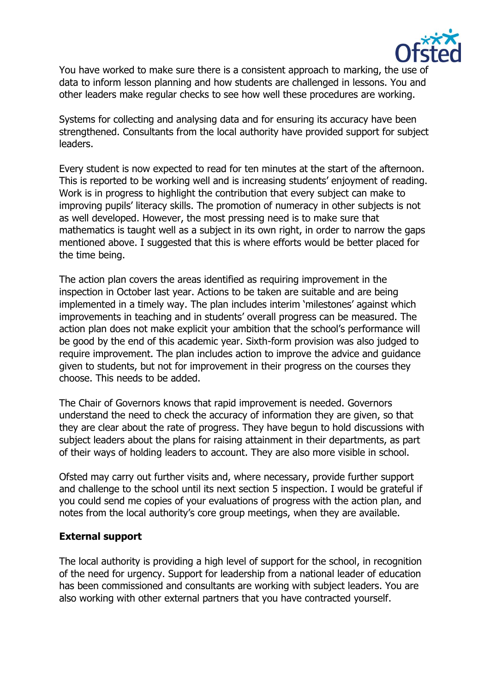

You have worked to make sure there is a consistent approach to marking, the use of data to inform lesson planning and how students are challenged in lessons. You and other leaders make regular checks to see how well these procedures are working.

Systems for collecting and analysing data and for ensuring its accuracy have been strengthened. Consultants from the local authority have provided support for subject leaders.

Every student is now expected to read for ten minutes at the start of the afternoon. This is reported to be working well and is increasing students' enjoyment of reading. Work is in progress to highlight the contribution that every subject can make to improving pupils' literacy skills. The promotion of numeracy in other subjects is not as well developed. However, the most pressing need is to make sure that mathematics is taught well as a subject in its own right, in order to narrow the gaps mentioned above. I suggested that this is where efforts would be better placed for the time being.

The action plan covers the areas identified as requiring improvement in the inspection in October last year. Actions to be taken are suitable and are being implemented in a timely way. The plan includes interim 'milestones' against which improvements in teaching and in students' overall progress can be measured. The action plan does not make explicit your ambition that the school's performance will be good by the end of this academic year. Sixth-form provision was also judged to require improvement. The plan includes action to improve the advice and guidance given to students, but not for improvement in their progress on the courses they choose. This needs to be added.

The Chair of Governors knows that rapid improvement is needed. Governors understand the need to check the accuracy of information they are given, so that they are clear about the rate of progress. They have begun to hold discussions with subject leaders about the plans for raising attainment in their departments, as part of their ways of holding leaders to account. They are also more visible in school.

Ofsted may carry out further visits and, where necessary, provide further support and challenge to the school until its next section 5 inspection. I would be grateful if you could send me copies of your evaluations of progress with the action plan, and notes from the local authority's core group meetings, when they are available.

### **External support**

The local authority is providing a high level of support for the school, in recognition of the need for urgency. Support for leadership from a national leader of education has been commissioned and consultants are working with subject leaders. You are also working with other external partners that you have contracted yourself.